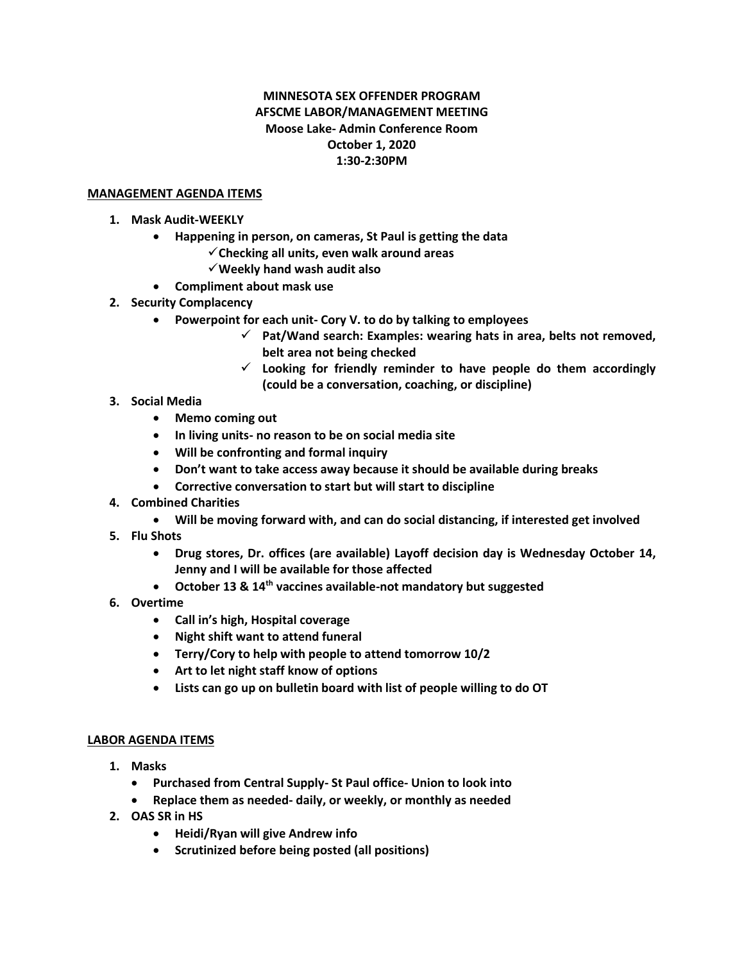## **MINNESOTA SEX OFFENDER PROGRAM AFSCME LABOR/MANAGEMENT MEETING Moose Lake- Admin Conference Room October 1, 2020 1:30-2:30PM**

## **MANAGEMENT AGENDA ITEMS**

- **1. Mask Audit-WEEKLY**
	- **Happening in person, on cameras, St Paul is getting the data**
		- ✓**Checking all units, even walk around areas**
		- ✓**Weekly hand wash audit also**
	- **Compliment about mask use**
- **2. Security Complacency**
	- **Powerpoint for each unit- Cory V. to do by talking to employees**
		- ✓ **Pat/Wand search: Examples: wearing hats in area, belts not removed, belt area not being checked**
		- ✓ **Looking for friendly reminder to have people do them accordingly (could be a conversation, coaching, or discipline)**
- **3. Social Media**
	- **Memo coming out**
	- **In living units- no reason to be on social media site**
	- **Will be confronting and formal inquiry**
	- **Don't want to take access away because it should be available during breaks**
	- **Corrective conversation to start but will start to discipline**
- **4. Combined Charities**
	- **Will be moving forward with, and can do social distancing, if interested get involved**
- **5. Flu Shots**
	- **Drug stores, Dr. offices (are available) Layoff decision day is Wednesday October 14, Jenny and I will be available for those affected**
	- **October 13 & 14th vaccines available-not mandatory but suggested**
- **6. Overtime**
	- **Call in's high, Hospital coverage**
	- **Night shift want to attend funeral**
	- **Terry/Cory to help with people to attend tomorrow 10/2**
	- **Art to let night staff know of options**
	- **Lists can go up on bulletin board with list of people willing to do OT**

## **LABOR AGENDA ITEMS**

- **1. Masks**
	- **Purchased from Central Supply- St Paul office- Union to look into**
	- **Replace them as needed- daily, or weekly, or monthly as needed**
- **2. OAS SR in HS**
	- **Heidi/Ryan will give Andrew info**
	- **Scrutinized before being posted (all positions)**